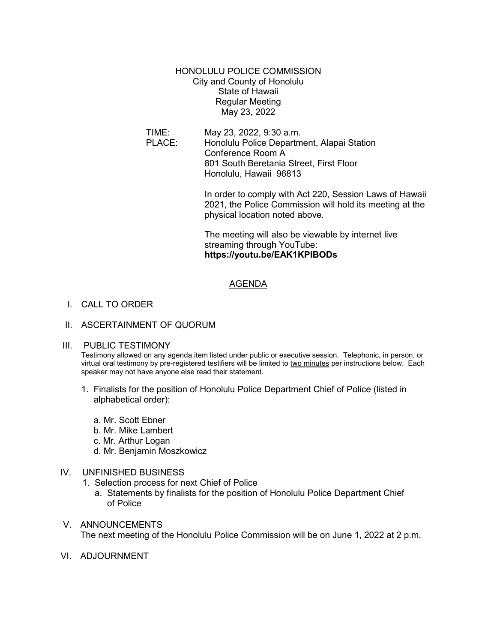HONOLULU POLICE COMMISSION City and County of Honolulu State of Hawaii Regular Meeting May 23, 2022

TIME: May 23, 2022, 9:30 a.m. Honolulu Police Department, Alapai Station Conference Room A 801 South Beretania Street, First Floor Honolulu, Hawaii 96813

> In order to comply with Act 220, Session Laws of Hawaii 2021, the Police Commission will hold its meeting at the physical location noted above.

The meeting will also be viewable by internet live streaming through YouTube: **https://youtu.be/EAK1KPlBODs**

### AGENDA

# I. CALL TO ORDER

### II. ASCERTAINMENT OF QUORUM

### III. PUBLIC TESTIMONY

Testimony allowed on any agenda item listed under public or executive session. Telephonic, in person, or virtual oral testimony by pre-registered testifiers will be limited to two minutes per instructions below. Each speaker may not have anyone else read their statement.

- 1. Finalists for the position of Honolulu Police Department Chief of Police (listed in alphabetical order):
	- a. Mr. Scott Ebner
	- b. Mr. Mike Lambert
	- c. Mr. Arthur Logan
	- d. Mr. Benjamin Moszkowicz

## IV. UNFINISHED BUSINESS

- 1. Selection process for next Chief of Police
	- a. Statements by finalists for the position of Honolulu Police Department Chief of Police
- V. ANNOUNCEMENTS The next meeting of the Honolulu Police Commission will be on June 1, 2022 at 2 p.m.
- VI. ADJOURNMENT